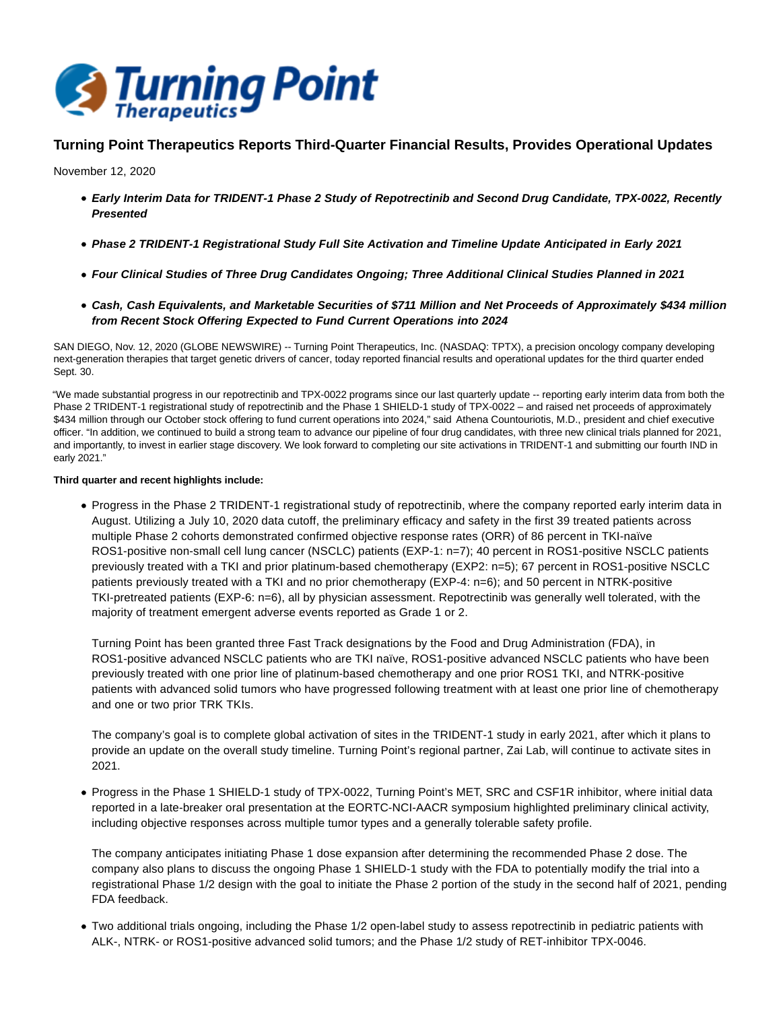

# **Turning Point Therapeutics Reports Third-Quarter Financial Results, Provides Operational Updates**

November 12, 2020

- **Early Interim Data for TRIDENT-1 Phase 2 Study of Repotrectinib and Second Drug Candidate, TPX-0022, Recently Presented**
- **Phase 2 TRIDENT-1 Registrational Study Full Site Activation and Timeline Update Anticipated in Early 2021**
- **Four Clinical Studies of Three Drug Candidates Ongoing; Three Additional Clinical Studies Planned in 2021**
- **Cash, Cash Equivalents, and Marketable Securities of \$711 Million and Net Proceeds of Approximately \$434 million from Recent Stock Offering Expected to Fund Current Operations into 2024**

SAN DIEGO, Nov. 12, 2020 (GLOBE NEWSWIRE) -- Turning Point Therapeutics, Inc. (NASDAQ: TPTX), a precision oncology company developing next-generation therapies that target genetic drivers of cancer, today reported financial results and operational updates for the third quarter ended Sept. 30.

"We made substantial progress in our repotrectinib and TPX-0022 programs since our last quarterly update -- reporting early interim data from both the Phase 2 TRIDENT-1 registrational study of repotrectinib and the Phase 1 SHIELD-1 study of TPX-0022 – and raised net proceeds of approximately \$434 million through our October stock offering to fund current operations into 2024," said Athena Countouriotis, M.D., president and chief executive officer. "In addition, we continued to build a strong team to advance our pipeline of four drug candidates, with three new clinical trials planned for 2021, and importantly, to invest in earlier stage discovery. We look forward to completing our site activations in TRIDENT-1 and submitting our fourth IND in early 2021."

## **Third quarter and recent highlights include:**

Progress in the Phase 2 TRIDENT-1 registrational study of repotrectinib, where the company reported early interim data in August. Utilizing a July 10, 2020 data cutoff, the preliminary efficacy and safety in the first 39 treated patients across multiple Phase 2 cohorts demonstrated confirmed objective response rates (ORR) of 86 percent in TKI-naïve ROS1-positive non-small cell lung cancer (NSCLC) patients (EXP-1: n=7); 40 percent in ROS1-positive NSCLC patients previously treated with a TKI and prior platinum-based chemotherapy (EXP2: n=5); 67 percent in ROS1-positive NSCLC patients previously treated with a TKI and no prior chemotherapy (EXP-4: n=6); and 50 percent in NTRK-positive TKI-pretreated patients (EXP-6: n=6), all by physician assessment. Repotrectinib was generally well tolerated, with the majority of treatment emergent adverse events reported as Grade 1 or 2.

Turning Point has been granted three Fast Track designations by the Food and Drug Administration (FDA), in ROS1-positive advanced NSCLC patients who are TKI naïve, ROS1-positive advanced NSCLC patients who have been previously treated with one prior line of platinum-based chemotherapy and one prior ROS1 TKI, and NTRK-positive patients with advanced solid tumors who have progressed following treatment with at least one prior line of chemotherapy and one or two prior TRK TKIs.

The company's goal is to complete global activation of sites in the TRIDENT-1 study in early 2021, after which it plans to provide an update on the overall study timeline. Turning Point's regional partner, Zai Lab, will continue to activate sites in 2021.

Progress in the Phase 1 SHIELD-1 study of TPX-0022, Turning Point's MET, SRC and CSF1R inhibitor, where initial data reported in a late-breaker oral presentation at the EORTC-NCI-AACR symposium highlighted preliminary clinical activity, including objective responses across multiple tumor types and a generally tolerable safety profile.

The company anticipates initiating Phase 1 dose expansion after determining the recommended Phase 2 dose. The company also plans to discuss the ongoing Phase 1 SHIELD-1 study with the FDA to potentially modify the trial into a registrational Phase 1/2 design with the goal to initiate the Phase 2 portion of the study in the second half of 2021, pending FDA feedback.

Two additional trials ongoing, including the Phase 1/2 open-label study to assess repotrectinib in pediatric patients with ALK-, NTRK- or ROS1-positive advanced solid tumors; and the Phase 1/2 study of RET-inhibitor TPX-0046.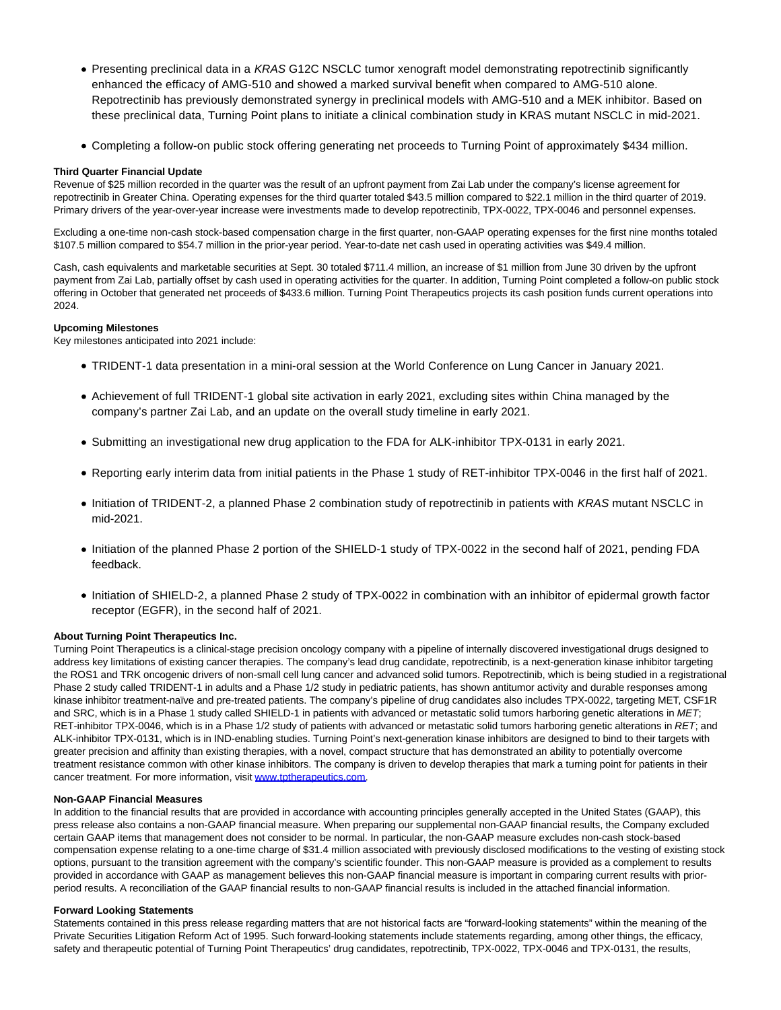- Presenting preclinical data in a KRAS G12C NSCLC tumor xenograft model demonstrating repotrectinib significantly enhanced the efficacy of AMG-510 and showed a marked survival benefit when compared to AMG-510 alone. Repotrectinib has previously demonstrated synergy in preclinical models with AMG-510 and a MEK inhibitor. Based on these preclinical data, Turning Point plans to initiate a clinical combination study in KRAS mutant NSCLC in mid-2021.
- Completing a follow-on public stock offering generating net proceeds to Turning Point of approximately \$434 million.

### **Third Quarter Financial Update**

Revenue of \$25 million recorded in the quarter was the result of an upfront payment from Zai Lab under the company's license agreement for repotrectinib in Greater China. Operating expenses for the third quarter totaled \$43.5 million compared to \$22.1 million in the third quarter of 2019. Primary drivers of the year-over-year increase were investments made to develop repotrectinib, TPX-0022, TPX-0046 and personnel expenses.

Excluding a one-time non-cash stock-based compensation charge in the first quarter, non-GAAP operating expenses for the first nine months totaled \$107.5 million compared to \$54.7 million in the prior-year period. Year-to-date net cash used in operating activities was \$49.4 million.

Cash, cash equivalents and marketable securities at Sept. 30 totaled \$711.4 million, an increase of \$1 million from June 30 driven by the upfront payment from Zai Lab, partially offset by cash used in operating activities for the quarter. In addition, Turning Point completed a follow-on public stock offering in October that generated net proceeds of \$433.6 million. Turning Point Therapeutics projects its cash position funds current operations into 2024.

## **Upcoming Milestones**

Key milestones anticipated into 2021 include:

- TRIDENT-1 data presentation in a mini-oral session at the World Conference on Lung Cancer in January 2021.
- Achievement of full TRIDENT-1 global site activation in early 2021, excluding sites within China managed by the company's partner Zai Lab, and an update on the overall study timeline in early 2021.
- Submitting an investigational new drug application to the FDA for ALK-inhibitor TPX-0131 in early 2021.
- Reporting early interim data from initial patients in the Phase 1 study of RET-inhibitor TPX-0046 in the first half of 2021.
- Initiation of TRIDENT-2, a planned Phase 2 combination study of repotrectinib in patients with KRAS mutant NSCLC in mid-2021.
- Initiation of the planned Phase 2 portion of the SHIELD-1 study of TPX-0022 in the second half of 2021, pending FDA feedback.
- Initiation of SHIELD-2, a planned Phase 2 study of TPX-0022 in combination with an inhibitor of epidermal growth factor receptor (EGFR), in the second half of 2021.

### **About Turning Point Therapeutics Inc.**

Turning Point Therapeutics is a clinical-stage precision oncology company with a pipeline of internally discovered investigational drugs designed to address key limitations of existing cancer therapies. The company's lead drug candidate, repotrectinib, is a next-generation kinase inhibitor targeting the ROS1 and TRK oncogenic drivers of non-small cell lung cancer and advanced solid tumors. Repotrectinib, which is being studied in a registrational Phase 2 study called TRIDENT-1 in adults and a Phase 1/2 study in pediatric patients, has shown antitumor activity and durable responses among kinase inhibitor treatment-naïve and pre-treated patients. The company's pipeline of drug candidates also includes TPX-0022, targeting MET, CSF1R and SRC, which is in a Phase 1 study called SHIELD-1 in patients with advanced or metastatic solid tumors harboring genetic alterations in MET; RET-inhibitor TPX-0046, which is in a Phase 1/2 study of patients with advanced or metastatic solid tumors harboring genetic alterations in RET; and ALK-inhibitor TPX-0131, which is in IND-enabling studies. Turning Point's next-generation kinase inhibitors are designed to bind to their targets with greater precision and affinity than existing therapies, with a novel, compact structure that has demonstrated an ability to potentially overcome treatment resistance common with other kinase inhibitors. The company is driven to develop therapies that mark a turning point for patients in their cancer treatment. For more information, visit [www.tptherapeutics.com.](https://www.globenewswire.com/Tracker?data=rrw4udK-jAT2r4H4lBsGKfllJ6-CXO8mveh8cKYFJFJIBgUN4ZbJxKfPRR9PgffV_Qq1X9OjoMKJKJ_KukfXo0lZnGZ2neTApWdbcytoJPs=)

### **Non-GAAP Financial Measures**

In addition to the financial results that are provided in accordance with accounting principles generally accepted in the United States (GAAP), this press release also contains a non-GAAP financial measure. When preparing our supplemental non-GAAP financial results, the Company excluded certain GAAP items that management does not consider to be normal. In particular, the non-GAAP measure excludes non-cash stock-based compensation expense relating to a one-time charge of \$31.4 million associated with previously disclosed modifications to the vesting of existing stock options, pursuant to the transition agreement with the company's scientific founder. This non-GAAP measure is provided as a complement to results provided in accordance with GAAP as management believes this non-GAAP financial measure is important in comparing current results with priorperiod results. A reconciliation of the GAAP financial results to non-GAAP financial results is included in the attached financial information.

### **Forward Looking Statements**

Statements contained in this press release regarding matters that are not historical facts are "forward-looking statements" within the meaning of the Private Securities Litigation Reform Act of 1995. Such forward-looking statements include statements regarding, among other things, the efficacy, safety and therapeutic potential of Turning Point Therapeutics' drug candidates, repotrectinib, TPX-0022, TPX-0046 and TPX-0131, the results,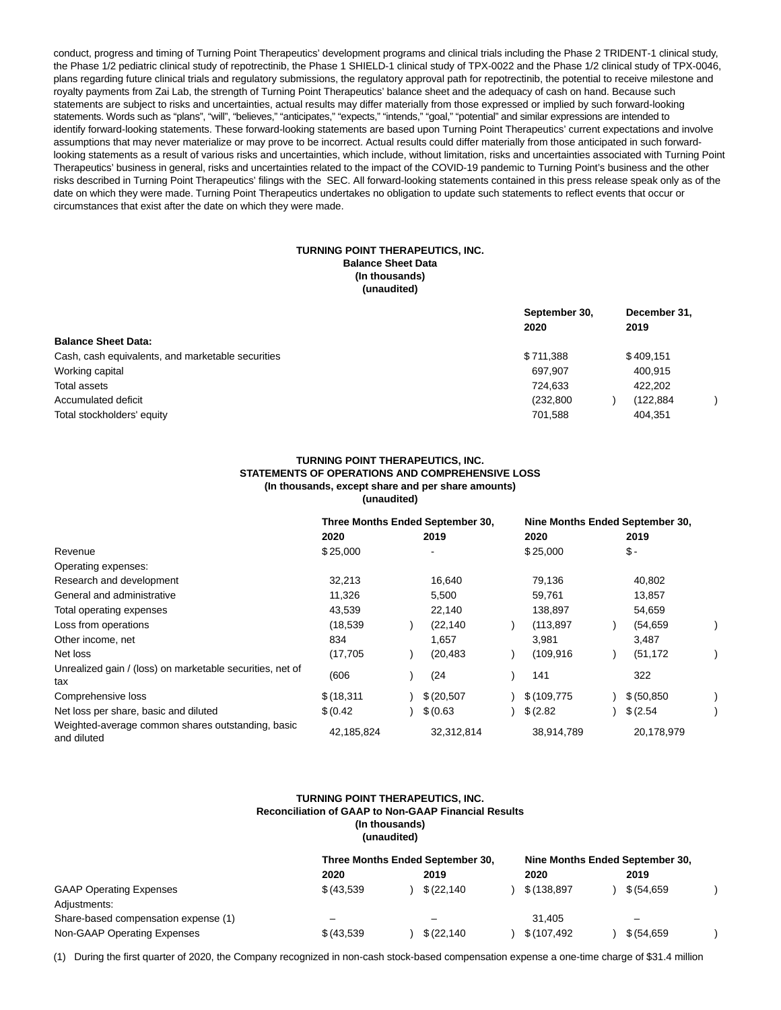conduct, progress and timing of Turning Point Therapeutics' development programs and clinical trials including the Phase 2 TRIDENT-1 clinical study, the Phase 1/2 pediatric clinical study of repotrectinib, the Phase 1 SHIELD-1 clinical study of TPX-0022 and the Phase 1/2 clinical study of TPX-0046, plans regarding future clinical trials and regulatory submissions, the regulatory approval path for repotrectinib, the potential to receive milestone and royalty payments from Zai Lab, the strength of Turning Point Therapeutics' balance sheet and the adequacy of cash on hand. Because such statements are subject to risks and uncertainties, actual results may differ materially from those expressed or implied by such forward-looking statements. Words such as "plans", "will", "believes," "anticipates," "expects," "intends," "goal," "potential" and similar expressions are intended to identify forward-looking statements. These forward-looking statements are based upon Turning Point Therapeutics' current expectations and involve assumptions that may never materialize or may prove to be incorrect. Actual results could differ materially from those anticipated in such forwardlooking statements as a result of various risks and uncertainties, which include, without limitation, risks and uncertainties associated with Turning Point Therapeutics' business in general, risks and uncertainties related to the impact of the COVID-19 pandemic to Turning Point's business and the other risks described in Turning Point Therapeutics' filings with the SEC. All forward-looking statements contained in this press release speak only as of the date on which they were made. Turning Point Therapeutics undertakes no obligation to update such statements to reflect events that occur or circumstances that exist after the date on which they were made.

## **TURNING POINT THERAPEUTICS, INC. Balance Sheet Data (In thousands) (unaudited)**

|                                                   | September 30,<br>2020 | December 31,<br>2019 |
|---------------------------------------------------|-----------------------|----------------------|
| <b>Balance Sheet Data:</b>                        |                       |                      |
| Cash, cash equivalents, and marketable securities | \$711,388             | \$409.151            |
| Working capital                                   | 697,907               | 400,915              |
| Total assets                                      | 724.633               | 422.202              |
| Accumulated deficit                               | (232.800)             | (122.884)            |
| Total stockholders' equity                        | 701,588               | 404.351              |

#### **TURNING POINT THERAPEUTICS, INC. STATEMENTS OF OPERATIONS AND COMPREHENSIVE LOSS (In thousands, except share and per share amounts) (unaudited)**

|                                                                  | Three Months Ended September 30, |                          |             | Nine Months Ended September 30, |  |              |  |
|------------------------------------------------------------------|----------------------------------|--------------------------|-------------|---------------------------------|--|--------------|--|
|                                                                  | 2020                             | 2019                     |             | 2020                            |  | 2019         |  |
| Revenue                                                          | \$25,000                         | $\overline{\phantom{a}}$ |             | \$25,000                        |  | $$-$         |  |
| Operating expenses:                                              |                                  |                          |             |                                 |  |              |  |
| Research and development                                         | 32,213                           |                          | 16,640      | 79,136                          |  | 40,802       |  |
| General and administrative                                       | 11,326                           |                          | 5,500       | 59,761                          |  | 13,857       |  |
| Total operating expenses                                         | 43,539                           |                          | 22,140      | 138,897                         |  | 54,659       |  |
| Loss from operations                                             | (18, 539)                        |                          | (22, 140)   | (113, 897)                      |  | (54, 659)    |  |
| Other income, net                                                | 834                              |                          | 1,657       | 3,981                           |  | 3,487        |  |
| Net loss                                                         | (17, 705)                        |                          | (20, 483)   | (109, 916)                      |  | (51, 172)    |  |
| Unrealized gain / (loss) on marketable securities, net of<br>tax | (606)                            |                          | (24)        | 141                             |  | 322          |  |
| Comprehensive loss                                               | \$(18, 311)                      |                          | \$ (20,507) | \$(109, 775)                    |  | \$ (50, 850) |  |
| Net loss per share, basic and diluted                            | \$ (0.42)                        |                          | \$ (0.63)   | \$ (2.82)                       |  | \$ (2.54)    |  |
| Weighted-average common shares outstanding, basic<br>and diluted | 42,185,824                       |                          | 32,312,814  | 38,914,789                      |  | 20,178,979   |  |

#### **TURNING POINT THERAPEUTICS, INC. Reconciliation of GAAP to Non-GAAP Financial Results (In thousands) (unaudited)**

|                                      | Three Months Ended September 30, |                          |              | Nine Months Ended September 30, |              |  |             |  |
|--------------------------------------|----------------------------------|--------------------------|--------------|---------------------------------|--------------|--|-------------|--|
|                                      | 2020                             |                          | 2019         |                                 | 2020         |  | 2019        |  |
| <b>GAAP Operating Expenses</b>       | \$ (43,539)                      |                          | \$ (22.140)  |                                 | \$ (138,897  |  | \$ (54.659) |  |
| Adjustments:                         |                                  |                          |              |                                 |              |  |             |  |
| Share-based compensation expense (1) | $\overline{\phantom{0}}$         | $\overline{\phantom{a}}$ |              |                                 | 31.405       |  | -           |  |
| Non-GAAP Operating Expenses          | \$ (43.539)                      |                          | \$ (22, 140) |                                 | \$(107, 492) |  | \$ (54,659) |  |

(1) During the first quarter of 2020, the Company recognized in non-cash stock-based compensation expense a one-time charge of \$31.4 million